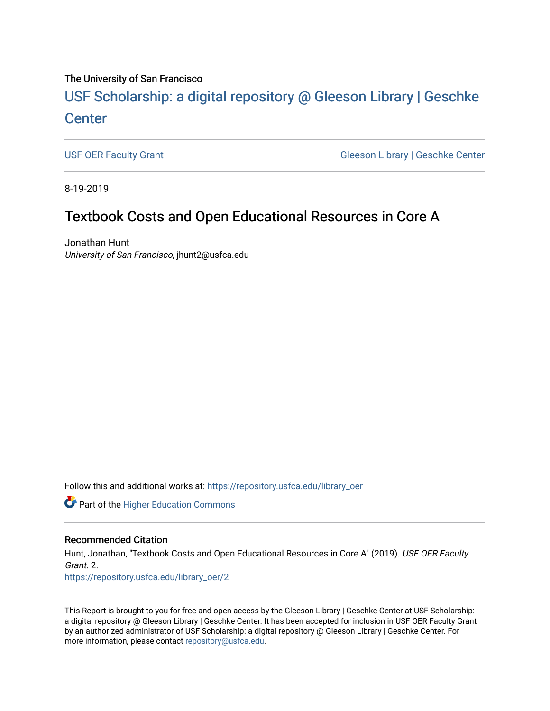#### The University of San Francisco

# USF Scholarship: [a digital repository @ Gleeson Libr](https://repository.usfca.edu/)ary | Geschke **Center**

[USF OER Faculty Grant](https://repository.usfca.edu/library_oer) Gleeson Library | Geschke Center

8-19-2019

## Textbook Costs and Open Educational Resources in Core A

Jonathan Hunt University of San Francisco, jhunt2@usfca.edu

Follow this and additional works at: [https://repository.usfca.edu/library\\_oer](https://repository.usfca.edu/library_oer?utm_source=repository.usfca.edu%2Flibrary_oer%2F2&utm_medium=PDF&utm_campaign=PDFCoverPages)

**Part of the Higher Education Commons** 

#### Recommended Citation

Hunt, Jonathan, "Textbook Costs and Open Educational Resources in Core A" (2019). USF OER Faculty Grant. 2. [https://repository.usfca.edu/library\\_oer/2](https://repository.usfca.edu/library_oer/2?utm_source=repository.usfca.edu%2Flibrary_oer%2F2&utm_medium=PDF&utm_campaign=PDFCoverPages) 

This Report is brought to you for free and open access by the Gleeson Library | Geschke Center at USF Scholarship: a digital repository @ Gleeson Library | Geschke Center. It has been accepted for inclusion in USF OER Faculty Grant by an authorized administrator of USF Scholarship: a digital repository @ Gleeson Library | Geschke Center. For more information, please contact [repository@usfca.edu](mailto:repository@usfca.edu).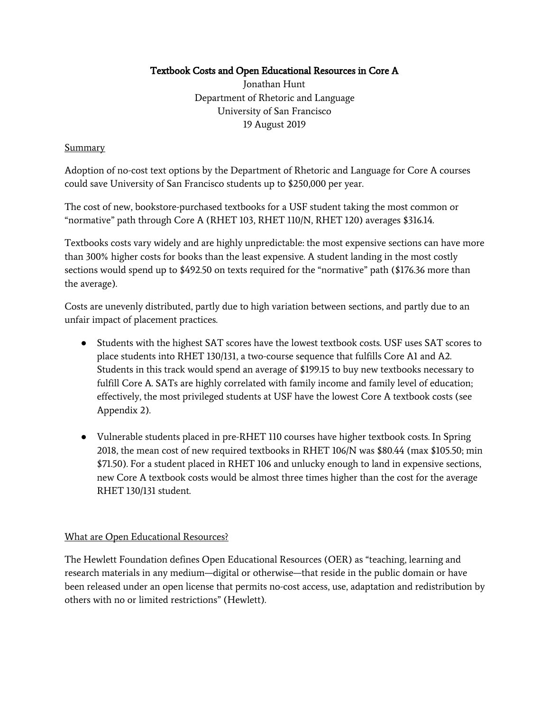## Textbook Costs and Open Educational Resources in Core A

Jonathan Hunt Department of Rhetoric and Language University of San Francisco 19 August 2019

#### **Summary**

Adoption of no-cost text options by the Department of Rhetoric and Language for Core A courses could save University of San Francisco students up to \$250,000 per year.

The cost of new, bookstore-purchased textbooks for a USF student taking the most common or "normative" path through Core A (RHET 103, RHET 110/N, RHET 120) averages \$316.14.

Textbooks costs vary widely and are highly unpredictable: the most expensive sections can have more than 300% higher costs for books than the least expensive. A student landing in the most costly sections would spend up to \$492.50 on texts required for the "normative" path (\$176.36 more than the average).

Costs are unevenly distributed, partly due to high variation between sections, and partly due to an unfair impact of placement practices.

- Students with the highest SAT scores have the lowest textbook costs. USF uses SAT scores to place students into RHET 130/131, a two-course sequence that fulfills Core A1 and A2. Students in this track would spend an average of \$199.15 to buy new textbooks necessary to fulfill Core A. SATs are highly correlated with family income and family level of education; effectively, the most privileged students at USF have the lowest Core A textbook costs (see Appendix 2).
- Vulnerable students placed in pre-RHET 110 courses have higher textbook costs. In Spring 2018, the mean cost of new required textbooks in RHET 106/N was \$80.44 (max \$105.50; min \$71.50). For a student placed in RHET 106 and unlucky enough to land in expensive sections, new Core A textbook costs would be almost three times higher than the cost for the average RHET 130/131 student.

#### What are Open Educational Resources?

The Hewlett Foundation defines Open Educational Resources (OER) as "teaching, learning and research materials in any medium—digital or otherwise—that reside in the public domain or have been released under an open license that permits no-cost access, use, adaptation and redistribution by others with no or limited restrictions" (Hewlett).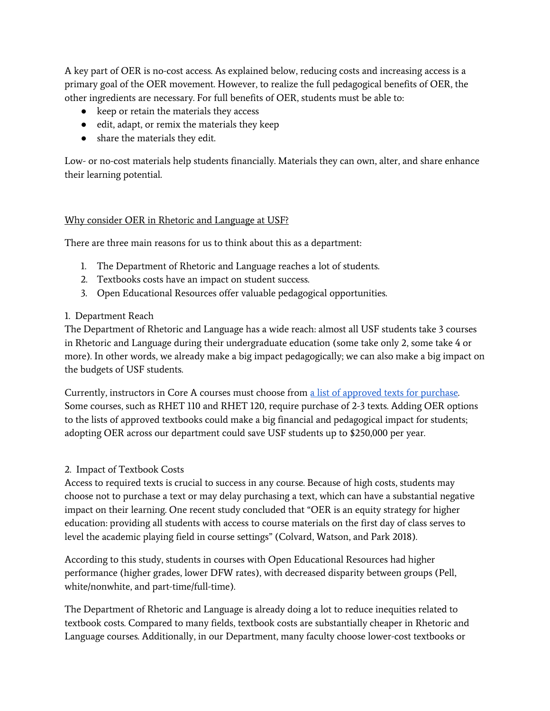A key part of OER is no-cost access. As explained below, reducing costs and increasing access is a primary goal of the OER movement. However, to realize the full pedagogical benefits of OER, the other ingredients are necessary. For full benefits of OER, students must be able to:

- keep or retain the materials they access
- edit, adapt, or remix the materials they keep
- share the materials they edit.

Low- or no-cost materials help students financially. Materials they can own, alter, and share enhance their learning potential.

#### Why consider OER in Rhetoric and Language at USF?

There are three main reasons for us to think about this as a department:

- 1. The Department of Rhetoric and Language reaches a lot of students.
- 2. Textbooks costs have an impact on student success.
- 3. Open Educational Resources offer valuable pedagogical opportunities.

#### 1. Department Reach

The Department of Rhetoric and Language has a wide reach: almost all USF students take 3 courses in Rhetoric and Language during their undergraduate education (some take only 2, some take 4 or more). In other words, we already make a big impact pedagogically; we can also make a big impact on the budgets of USF students.

Currently, instructors in Core A courses must choose from a list of [approved](https://usfca.instructure.com/courses/1205453/pages/approved-textbooks-for-rhet-courses) texts for purchase. Some courses, such as RHET 110 and RHET 120, require purchase of 2-3 texts. Adding OER options to the lists of approved textbooks could make a big financial and pedagogical impact for students; adopting OER across our department could save USF students up to \$250,000 per year.

#### 2. Impact of Textbook Costs

Access to required texts is crucial to success in any course. Because of high costs, students may choose not to purchase a text or may delay purchasing a text, which can have a substantial negative impact on their learning. One recent study concluded that "OER is an equity strategy for higher education: providing all students with access to course materials on the first day of class serves to level the academic playing field in course settings" (Colvard, Watson, and Park 2018).

According to this study, students in courses with Open Educational Resources had higher performance (higher grades, lower DFW rates), with decreased disparity between groups (Pell, white/nonwhite, and part-time/full-time).

The Department of Rhetoric and Language is already doing a lot to reduce inequities related to textbook costs. Compared to many fields, textbook costs are substantially cheaper in Rhetoric and Language courses. Additionally, in our Department, many faculty choose lower-cost textbooks or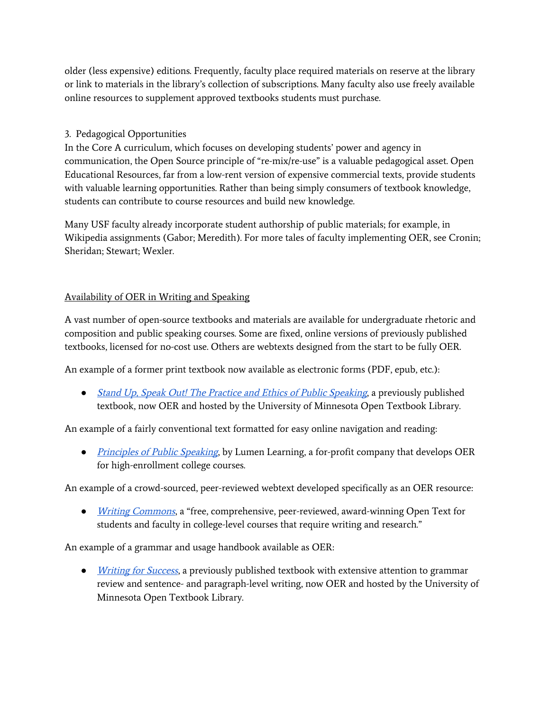older (less expensive) editions. Frequently, faculty place required materials on reserve at the library or link to materials in the library's collection of subscriptions. Many faculty also use freely available online resources to supplement approved textbooks students must purchase.

## 3. Pedagogical Opportunities

In the Core A curriculum, which focuses on developing students' power and agency in communication, the Open Source principle of "re-mix/re-use" is a valuable pedagogical asset. Open Educational Resources, far from a low-rent version of expensive commercial texts, provide students with valuable learning opportunities. Rather than being simply consumers of textbook knowledge, students can contribute to course resources and build new knowledge.

Many USF faculty already incorporate student authorship of public materials; for example, in Wikipedia assignments (Gabor; Meredith). For more tales of faculty implementing OER, see Cronin; Sheridan; Stewart; Wexler.

## Availability of OER in Writing and Speaking

A vast number of open-source textbooks and materials are available for undergraduate rhetoric and composition and public speaking courses. Some are fixed, online versions of previously published textbooks, licensed for no-cost use. Others are webtexts designed from the start to be fully OER.

An example of a former print textbook now available as electronic forms (PDF, epub, etc.):

• Stand Up, Speak Out! The Practice and Ethics of Public [Speaking](https://open.umn.edu/opentextbooks/textbooks/stand-up-speak-out-the-practice-and-ethics-of-public-speaking), a previously published textbook, now OER and hosted by the University of Minnesota Open Textbook Library.

An example of a fairly conventional text formatted for easy online navigation and reading:

● *[Principles](https://courses.lumenlearning.com/publicspeakingprinciples/) of Public Speaking*, by Lumen Learning, a for-profit company that develops OER for high-enrollment college courses.

An example of a crowd-sourced, peer-reviewed webtext developed specifically as an OER resource:

• *[Writing](https://writingcommons.org/) Commons*, a "free, comprehensive, peer-reviewed, award-winning Open Text for students and faculty in college-level courses that require writing and research."

An example of a grammar and usage handbook available as OER:

• *[Writing](http://open.lib.umn.edu/writingforsuccess/) for Success*, a previously published textbook with extensive attention to grammar review and sentence- and paragraph-level writing, now OER and hosted by the University of Minnesota Open Textbook Library.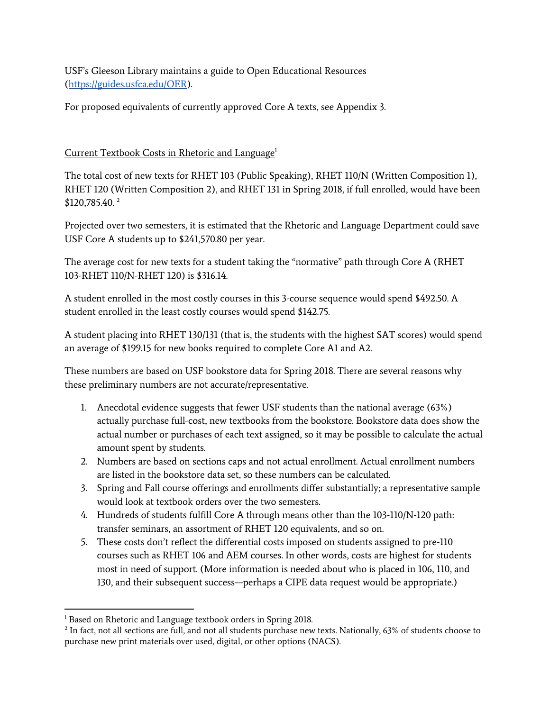USF's Gleeson Library maintains a guide to Open Educational Resources [\(https://guides.usfca.edu/OER](https://guides.usfca.edu/OER)).

For proposed equivalents of currently approved Core A texts, see Appendix 3.

## Current Textbook Costs in Rhetoric and Language<sup>1</sup>

The total cost of new texts for RHET 103 (Public Speaking), RHET 110/N (Written Composition 1), RHET 120 (Written Composition 2), and RHET 131 in Spring 2018, if full enrolled, would have been \$120,785.40. 2

Projected over two semesters, it is estimated that the Rhetoric and Language Department could save USF Core A students up to \$241,570.80 per year.

The average cost for new texts for a student taking the "normative" path through Core A (RHET 103-RHET 110/N-RHET 120) is \$316.14.

A student enrolled in the most costly courses in this 3-course sequence would spend \$492.50. A student enrolled in the least costly courses would spend \$142.75.

A student placing into RHET 130/131 (that is, the students with the highest SAT scores) would spend an average of \$199.15 for new books required to complete Core A1 and A2.

These numbers are based on USF bookstore data for Spring 2018. There are several reasons why these preliminary numbers are not accurate/representative.

- 1. Anecdotal evidence suggests that fewer USF students than the national average (63%) actually purchase full-cost, new textbooks from the bookstore. Bookstore data does show the actual number or purchases of each text assigned, so it may be possible to calculate the actual amount spent by students.
- 2. Numbers are based on sections caps and not actual enrollment. Actual enrollment numbers are listed in the bookstore data set, so these numbers can be calculated.
- 3. Spring and Fall course offerings and enrollments differ substantially; a representative sample would look at textbook orders over the two semesters.
- 4. Hundreds of students fulfill Core A through means other than the 103-110/N-120 path: transfer seminars, an assortment of RHET 120 equivalents, and so on.
- 5. These costs don't reflect the differential costs imposed on students assigned to pre-110 courses such as RHET 106 and AEM courses. In other words, costs are highest for students most in need of support. (More information is needed about who is placed in 106, 110, and 130, and their subsequent success—perhaps a CIPE data request would be appropriate.)

<sup>&</sup>lt;sup>1</sup> Based on Rhetoric and Language textbook orders in Spring 2018.

 $^2$  In fact, not all sections are full, and not all students purchase new texts. Nationally, 63% of students choose to purchase new print materials over used, digital, or other options (NACS).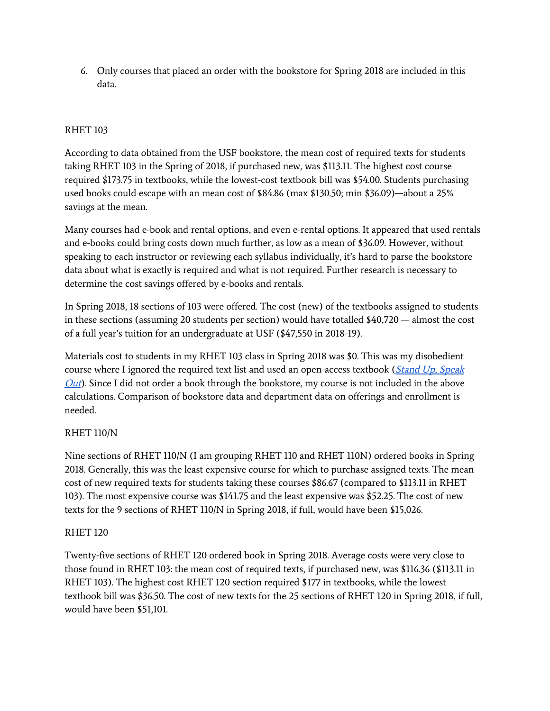6. Only courses that placed an order with the bookstore for Spring 2018 are included in this data.

## RHET 103

According to data obtained from the USF bookstore, the mean cost of required texts for students taking RHET 103 in the Spring of 2018, if purchased new, was \$113.11. The highest cost course required \$173.75 in textbooks, while the lowest-cost textbook bill was \$54.00. Students purchasing used books could escape with an mean cost of \$84.86 (max \$130.50; min \$36.09)—about a 25% savings at the mean.

Many courses had e-book and rental options, and even e-rental options. It appeared that used rentals and e-books could bring costs down much further, as low as a mean of \$36.09. However, without speaking to each instructor or reviewing each syllabus individually, it's hard to parse the bookstore data about what is exactly is required and what is not required. Further research is necessary to determine the cost savings offered by e-books and rentals.

In Spring 2018, 18 sections of 103 were offered. The cost (new) of the textbooks assigned to students in these sections (assuming 20 students per section) would have totalled \$40,720 — almost the cost of a full year's tuition for an undergraduate at USF (\$47,550 in 2018-19).

Materials cost to students in my RHET 103 class in Spring 2018 was \$0. This was my disobedient course where I ignored the required text list and used an open-access textbook (Stand Up, [Speak](https://open.umn.edu/opentextbooks/textbooks/stand-up-speak-out-the-practice-and-ethics-of-public-speaking)  $Out$ ). Since I did not order a book through the bookstore, my course is not included in the above calculations. Comparison of bookstore data and department data on offerings and enrollment is needed.

#### RHET 110/N

Nine sections of RHET 110/N (I am grouping RHET 110 and RHET 110N) ordered books in Spring 2018. Generally, this was the least expensive course for which to purchase assigned texts. The mean cost of new required texts for students taking these courses \$86.67 (compared to \$113.11 in RHET 103). The most expensive course was \$141.75 and the least expensive was \$52.25. The cost of new texts for the 9 sections of RHET 110/N in Spring 2018, if full, would have been \$15,026.

#### RHET 120

Twenty-five sections of RHET 120 ordered book in Spring 2018. Average costs were very close to those found in RHET 103: the mean cost of required texts, if purchased new, was \$116.36 (\$113.11 in RHET 103). The highest cost RHET 120 section required \$177 in textbooks, while the lowest textbook bill was \$36.50. The cost of new texts for the 25 sections of RHET 120 in Spring 2018, if full, would have been \$51,101.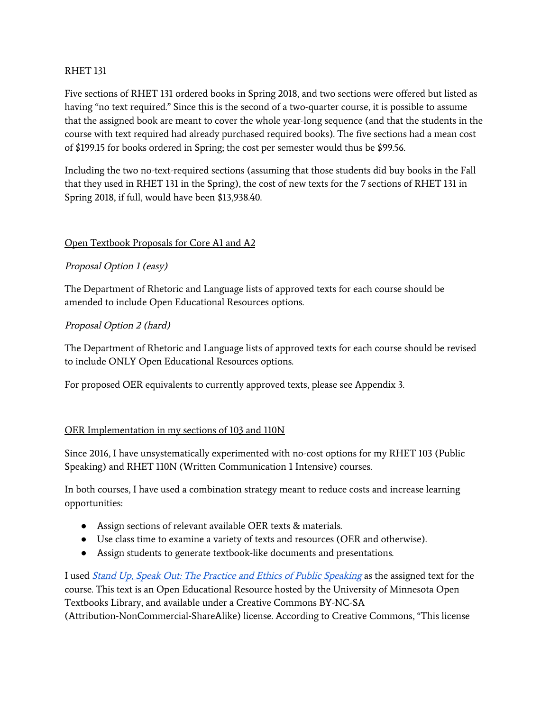#### RHET 131

Five sections of RHET 131 ordered books in Spring 2018, and two sections were offered but listed as having "no text required." Since this is the second of a two-quarter course, it is possible to assume that the assigned book are meant to cover the whole year-long sequence (and that the students in the course with text required had already purchased required books). The five sections had a mean cost of \$199.15 for books ordered in Spring; the cost per semester would thus be \$99.56.

Including the two no-text-required sections (assuming that those students did buy books in the Fall that they used in RHET 131 in the Spring), the cost of new texts for the 7 sections of RHET 131 in Spring 2018, if full, would have been \$13,938.40.

## Open Textbook Proposals for Core A1 and A2

## Proposal Option <sup>1</sup> (easy)

The Department of Rhetoric and Language lists of approved texts for each course should be amended to include Open Educational Resources options.

## Proposal Option <sup>2</sup> (hard)

The Department of Rhetoric and Language lists of approved texts for each course should be revised to include ONLY Open Educational Resources options.

For proposed OER equivalents to currently approved texts, please see Appendix 3.

#### OER Implementation in my sections of 103 and 110N

Since 2016, I have unsystematically experimented with no-cost options for my RHET 103 (Public Speaking) and RHET 110N (Written Communication 1 Intensive) courses.

In both courses, I have used a combination strategy meant to reduce costs and increase learning opportunities:

- Assign sections of relevant available OER texts & materials.
- Use class time to examine a variety of texts and resources (OER and otherwise).
- Assign students to generate textbook-like documents and presentations.

I used *Stand Up, Speak Out: The Practice and Ethics of Public [Speaking](https://open.umn.edu/opentextbooks/textbooks/stand-up-speak-out-the-practice-and-ethics-of-public-speaking)* as the assigned text for the course. This text is an Open Educational Resource hosted by the University of Minnesota Open Textbooks Library, and available under a Creative Commons BY-NC-SA (Attribution-NonCommercial-ShareAlike) license. According to Creative Commons, "This license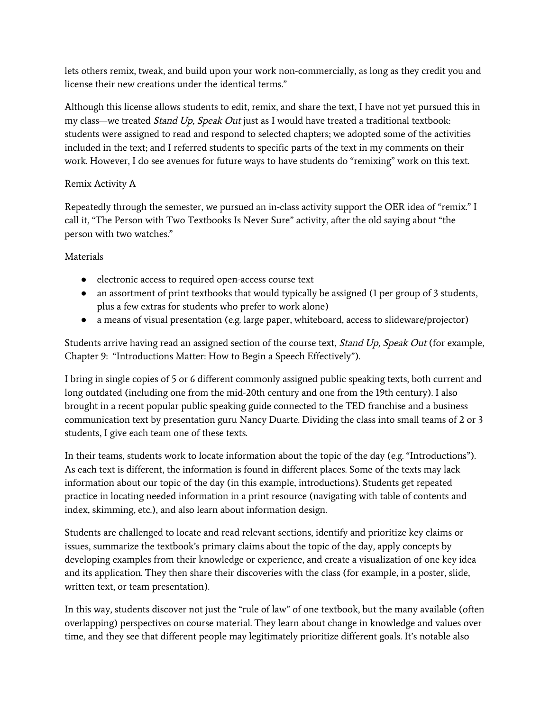lets others remix, tweak, and build upon your work non-commercially, as long as they credit you and license their new creations under the identical terms."

Although this license allows students to edit, remix, and share the text, I have not yet pursued this in my class—we treated Stand Up, Speak Out just as I would have treated a traditional textbook: students were assigned to read and respond to selected chapters; we adopted some of the activities included in the text; and I referred students to specific parts of the text in my comments on their work. However, I do see avenues for future ways to have students do "remixing" work on this text.

## Remix Activity A

Repeatedly through the semester, we pursued an in-class activity support the OER idea of "remix." I call it, "The Person with Two Textbooks Is Never Sure" activity, after the old saying about "the person with two watches."

Materials

- electronic access to required open-access course text
- an assortment of print textbooks that would typically be assigned (1 per group of 3 students, plus a few extras for students who prefer to work alone)
- a means of visual presentation (e.g. large paper, whiteboard, access to slideware/projector)

Students arrive having read an assigned section of the course text, Stand Up, Speak Out (for example, Chapter 9: "Introductions Matter: How to Begin a Speech Effectively").

I bring in single copies of 5 or 6 different commonly assigned public speaking texts, both current and long outdated (including one from the mid-20th century and one from the 19th century). I also brought in a recent popular public speaking guide connected to the TED franchise and a business communication text by presentation guru Nancy Duarte. Dividing the class into small teams of 2 or 3 students, I give each team one of these texts.

In their teams, students work to locate information about the topic of the day (e.g. "Introductions"). As each text is different, the information is found in different places. Some of the texts may lack information about our topic of the day (in this example, introductions). Students get repeated practice in locating needed information in a print resource (navigating with table of contents and index, skimming, etc.), and also learn about information design.

Students are challenged to locate and read relevant sections, identify and prioritize key claims or issues, summarize the textbook's primary claims about the topic of the day, apply concepts by developing examples from their knowledge or experience, and create a visualization of one key idea and its application. They then share their discoveries with the class (for example, in a poster, slide, written text, or team presentation).

In this way, students discover not just the "rule of law" of one textbook, but the many available (often overlapping) perspectives on course material. They learn about change in knowledge and values over time, and they see that different people may legitimately prioritize different goals. It's notable also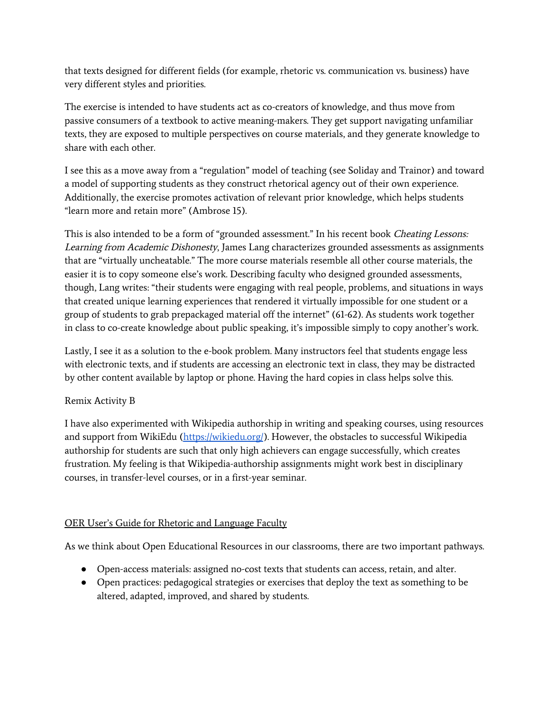that texts designed for different fields (for example, rhetoric vs. communication vs. business) have very different styles and priorities.

The exercise is intended to have students act as co-creators of knowledge, and thus move from passive consumers of a textbook to active meaning-makers. They get support navigating unfamiliar texts, they are exposed to multiple perspectives on course materials, and they generate knowledge to share with each other.

I see this as a move away from a "regulation" model of teaching (see Soliday and Trainor) and toward a model of supporting students as they construct rhetorical agency out of their own experience. Additionally, the exercise promotes activation of relevant prior knowledge, which helps students "learn more and retain more" (Ambrose 15).

This is also intended to be a form of "grounded assessment." In his recent book Cheating Lessons: Learning from Academic Dishonesty, James Lang characterizes grounded assessments as assignments that are "virtually uncheatable." The more course materials resemble all other course materials, the easier it is to copy someone else's work. Describing faculty who designed grounded assessments, though, Lang writes: "their students were engaging with real people, problems, and situations in ways that created unique learning experiences that rendered it virtually impossible for one student or a group of students to grab prepackaged material off the internet" (61-62). As students work together in class to co-create knowledge about public speaking, it's impossible simply to copy another's work.

Lastly, I see it as a solution to the e-book problem. Many instructors feel that students engage less with electronic texts, and if students are accessing an electronic text in class, they may be distracted by other content available by laptop or phone. Having the hard copies in class helps solve this.

## Remix Activity B

I have also experimented with Wikipedia authorship in writing and speaking courses, using resources and support from WikiEdu [\(https://wikiedu.org/](https://wikiedu.org/)). However, the obstacles to successful Wikipedia authorship for students are such that only high achievers can engage successfully, which creates frustration. My feeling is that Wikipedia-authorship assignments might work best in disciplinary courses, in transfer-level courses, or in a first-year seminar.

## OER User's Guide for Rhetoric and Language Faculty

As we think about Open Educational Resources in our classrooms, there are two important pathways.

- Open-access materials: assigned no-cost texts that students can access, retain, and alter.
- Open practices: pedagogical strategies or exercises that deploy the text as something to be altered, adapted, improved, and shared by students.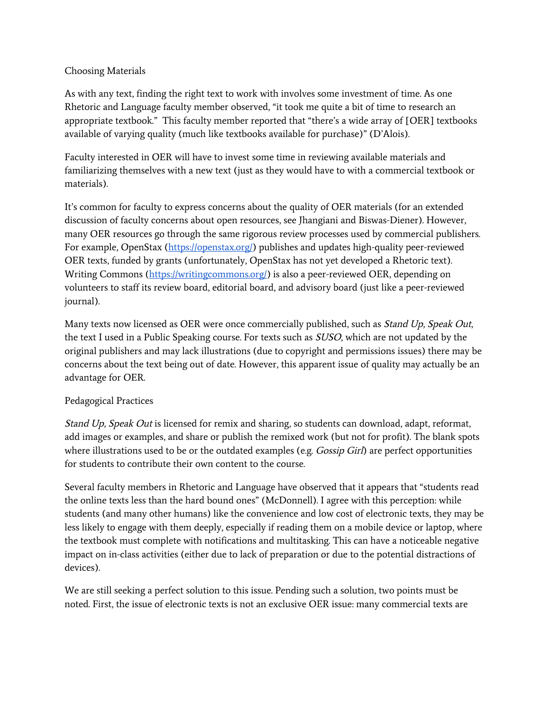#### Choosing Materials

As with any text, finding the right text to work with involves some investment of time. As one Rhetoric and Language faculty member observed, "it took me quite a bit of time to research an appropriate textbook." This faculty member reported that "there's a wide array of [OER] textbooks available of varying quality (much like textbooks available for purchase)" (D'Alois).

Faculty interested in OER will have to invest some time in reviewing available materials and familiarizing themselves with a new text (just as they would have to with a commercial textbook or materials).

It's common for faculty to express concerns about the quality of OER materials (for an extended discussion of faculty concerns about open resources, see Jhangiani and Biswas-Diener). However, many OER resources go through the same rigorous review processes used by commercial publishers. For example, OpenStax (<https://openstax.org/>) publishes and updates high-quality peer-reviewed OER texts, funded by grants (unfortunately, OpenStax has not yet developed a Rhetoric text). Writing Commons [\(https://writingcommons.org/](https://writingcommons.org/)) is also a peer-reviewed OER, depending on volunteers to staff its review board, editorial board, and advisory board (just like a peer-reviewed journal).

Many texts now licensed as OER were once commercially published, such as *Stand Up, Speak Out*, the text I used in a Public Speaking course. For texts such as SUSO, which are not updated by the original publishers and may lack illustrations (due to copyright and permissions issues) there may be concerns about the text being out of date. However, this apparent issue of quality may actually be an advantage for OER.

## Pedagogical Practices

Stand Up, Speak Out is licensed for remix and sharing, so students can download, adapt, reformat, add images or examples, and share or publish the remixed work (but not for profit). The blank spots where illustrations used to be or the outdated examples (e.g. Gossip Girl) are perfect opportunities for students to contribute their own content to the course.

Several faculty members in Rhetoric and Language have observed that it appears that "students read the online texts less than the hard bound ones" (McDonnell). I agree with this perception: while students (and many other humans) like the convenience and low cost of electronic texts, they may be less likely to engage with them deeply, especially if reading them on a mobile device or laptop, where the textbook must complete with notifications and multitasking. This can have a noticeable negative impact on in-class activities (either due to lack of preparation or due to the potential distractions of devices).

We are still seeking a perfect solution to this issue. Pending such a solution, two points must be noted. First, the issue of electronic texts is not an exclusive OER issue: many commercial texts are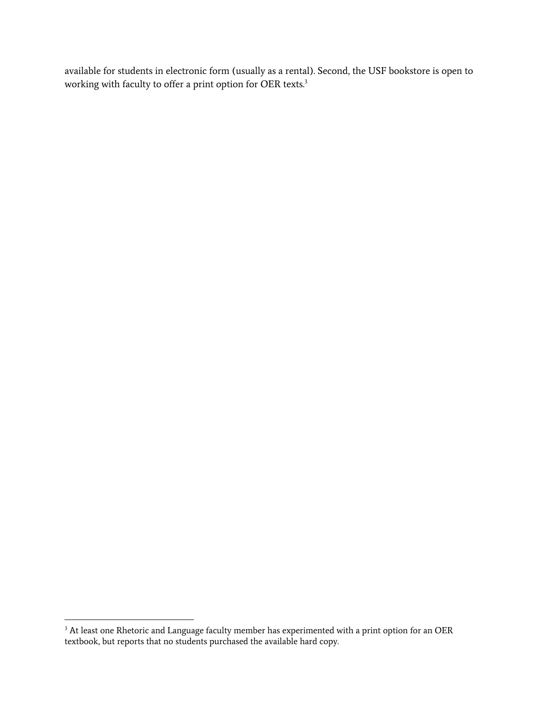available for students in electronic form (usually as a rental). Second, the USF bookstore is open to working with faculty to offer a print option for OER texts.<sup>3</sup>

 $3$  At least one Rhetoric and Language faculty member has experimented with a print option for an OER textbook, but reports that no students purchased the available hard copy.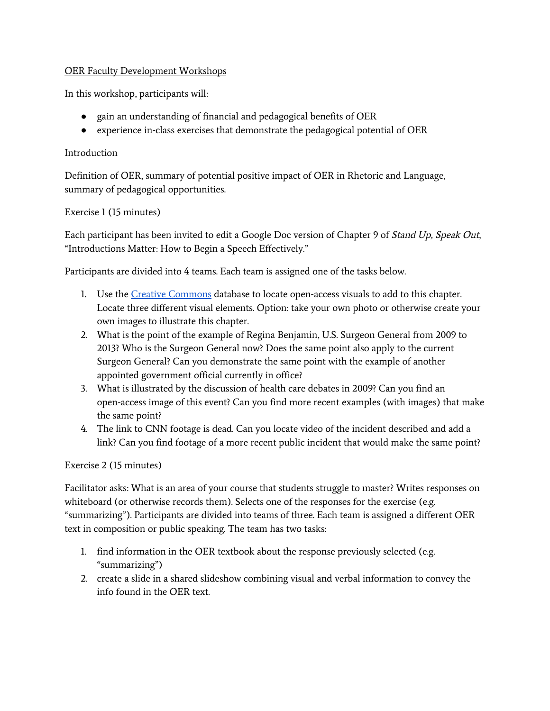## OER Faculty Development Workshops

In this workshop, participants will:

- gain an understanding of financial and pedagogical benefits of OER
- experience in-class exercises that demonstrate the pedagogical potential of OER

## Introduction

Definition of OER, summary of potential positive impact of OER in Rhetoric and Language, summary of pedagogical opportunities.

## Exercise 1 (15 minutes)

Each participant has been invited to edit a Google Doc version of Chapter 9 of Stand Up, Speak Out, "Introductions Matter: How to Begin a Speech Effectively."

Participants are divided into 4 teams. Each team is assigned one of the tasks below.

- 1. Use the Creative [Commons](https://creativecommons.org/use-remix/) database to locate open-access visuals to add to this chapter. Locate three different visual elements. Option: take your own photo or otherwise create your own images to illustrate this chapter.
- 2. What is the point of the example of Regina Benjamin, U.S. Surgeon General from 2009 to 2013? Who is the Surgeon General now? Does the same point also apply to the current Surgeon General? Can you demonstrate the same point with the example of another appointed government official currently in office?
- 3. What is illustrated by the discussion of health care debates in 2009? Can you find an open-access image of this event? Can you find more recent examples (with images) that make the same point?
- 4. The link to CNN footage is dead. Can you locate video of the incident described and add a link? Can you find footage of a more recent public incident that would make the same point?

## Exercise 2 (15 minutes)

Facilitator asks: What is an area of your course that students struggle to master? Writes responses on whiteboard (or otherwise records them). Selects one of the responses for the exercise (e.g. "summarizing"). Participants are divided into teams of three. Each team is assigned a different OER text in composition or public speaking. The team has two tasks:

- 1. find information in the OER textbook about the response previously selected (e.g. "summarizing")
- 2. create a slide in a shared slideshow combining visual and verbal information to convey the info found in the OER text.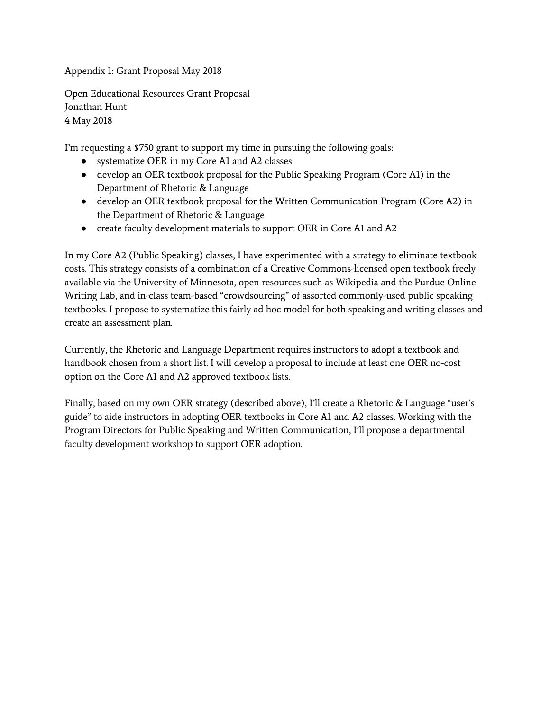## Appendix 1: Grant Proposal May 2018

Open Educational Resources Grant Proposal Jonathan Hunt 4 May 2018

I'm requesting a \$750 grant to support my time in pursuing the following goals:

- systematize OER in my Core A1 and A2 classes
- develop an OER textbook proposal for the Public Speaking Program (Core A1) in the Department of Rhetoric & Language
- develop an OER textbook proposal for the Written Communication Program (Core A2) in the Department of Rhetoric & Language
- create faculty development materials to support OER in Core A1 and A2

In my Core A2 (Public Speaking) classes, I have experimented with a strategy to eliminate textbook costs. This strategy consists of a combination of a Creative Commons-licensed open textbook freely available via the University of Minnesota, open resources such as Wikipedia and the Purdue Online Writing Lab, and in-class team-based "crowdsourcing" of assorted commonly-used public speaking textbooks. I propose to systematize this fairly ad hoc model for both speaking and writing classes and create an assessment plan.

Currently, the Rhetoric and Language Department requires instructors to adopt a textbook and handbook chosen from a short list. I will develop a proposal to include at least one OER no-cost option on the Core A1 and A2 approved textbook lists.

Finally, based on my own OER strategy (described above), I'll create a Rhetoric & Language "user's guide" to aide instructors in adopting OER textbooks in Core A1 and A2 classes. Working with the Program Directors for Public Speaking and Written Communication, I'll propose a departmental faculty development workshop to support OER adoption.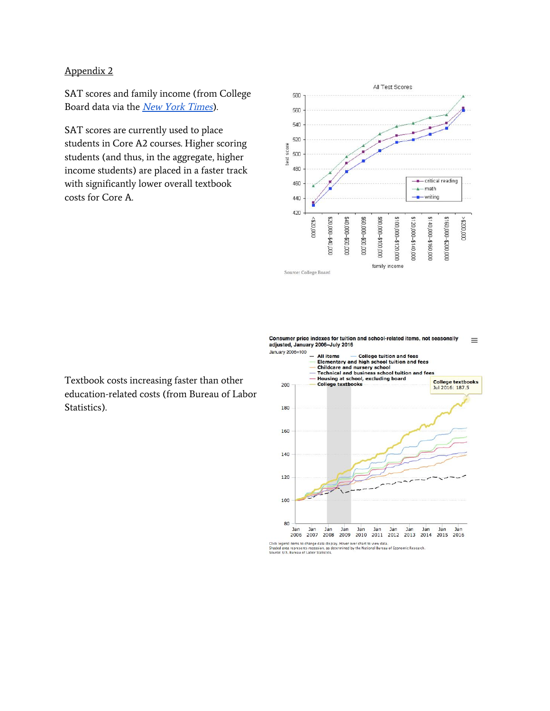## Appendix 2

SAT scores and family income (from College Board data via the *New York [Times](https://economix.blogs.nytimes.com/2009/08/27/sat-scores-and-family-income/)*).

SAT scores are currently used to place students in Core A2 courses. Higher scoring students (and thus, in the aggregate, higher income students) are placed in a faster track with significantly lower overall textbook costs for Core A.



Textbook costs increasing faster than other education-related costs (from Bureau of Labor Statistics).

Consumer price indexes for tuition and school-related items, not seasonally<br>adjusted, January 2006-July 2016  $\equiv$ 

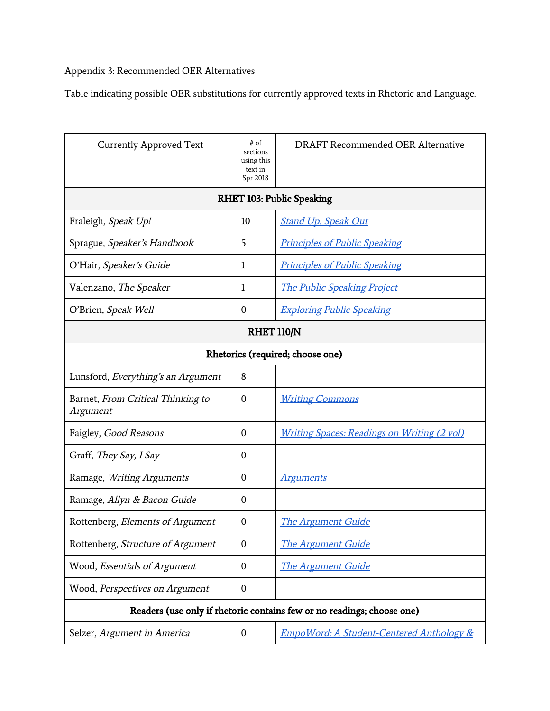## Appendix 3: Recommended OER Alternatives

Table indicating possible OER substitutions for currently approved texts in Rhetoric and Language.

| <b>Currently Approved Text</b>                                         | $#$ of<br>sections<br>using this<br>text in<br>Spr 2018 | DRAFT Recommended OER Alternative                   |  |  |
|------------------------------------------------------------------------|---------------------------------------------------------|-----------------------------------------------------|--|--|
| RHET 103: Public Speaking                                              |                                                         |                                                     |  |  |
| Fraleigh, Speak Up!                                                    | 10                                                      | <b>Stand Up, Speak Out</b>                          |  |  |
| Sprague, Speaker's Handbook                                            | 5                                                       | <b>Principles of Public Speaking</b>                |  |  |
| O'Hair, Speaker's Guide                                                | 1                                                       | <b>Principles of Public Speaking</b>                |  |  |
| Valenzano, The Speaker                                                 | 1                                                       | <b>The Public Speaking Project</b>                  |  |  |
| O'Brien, Speak Well                                                    | $\mathbf 0$                                             | <b>Exploring Public Speaking</b>                    |  |  |
| <b>RHET 110/N</b>                                                      |                                                         |                                                     |  |  |
| Rhetorics (required; choose one)                                       |                                                         |                                                     |  |  |
| Lunsford, Everything's an Argument                                     | 8                                                       |                                                     |  |  |
| Barnet, From Critical Thinking to<br>Argument                          | $\mathbf 0$                                             | <b>Writing Commons</b>                              |  |  |
| Faigley, Good Reasons                                                  | $\boldsymbol{0}$                                        | <b>Writing Spaces: Readings on Writing (2 vol)</b>  |  |  |
| Graff, They Say, I Say                                                 | 0                                                       |                                                     |  |  |
| Ramage, Writing Arguments                                              | 0                                                       | <u>Arguments</u>                                    |  |  |
| Ramage, Allyn & Bacon Guide                                            | 0                                                       |                                                     |  |  |
| Rottenberg, Elements of Argument                                       | 0                                                       | <b>The Argument Guide</b>                           |  |  |
| Rottenberg, Structure of Argument                                      | $\boldsymbol{0}$                                        | <b>The Argument Guide</b>                           |  |  |
| Wood, Essentials of Argument                                           | $\boldsymbol{0}$                                        | <b>The Argument Guide</b>                           |  |  |
| Wood, Perspectives on Argument                                         | $\boldsymbol{0}$                                        |                                                     |  |  |
| Readers (use only if rhetoric contains few or no readings; choose one) |                                                         |                                                     |  |  |
| Selzer, Argument in America                                            | $\boldsymbol{0}$                                        | <b>EmpoWord: A Student-Centered Anthology &amp;</b> |  |  |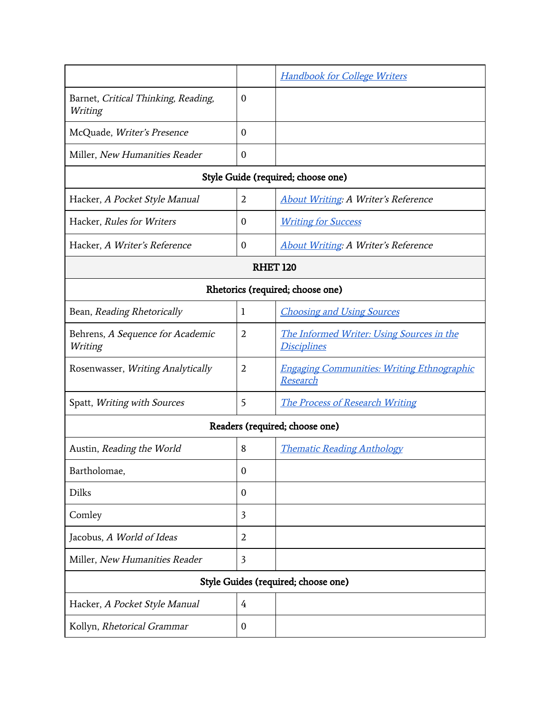|                                                |                  | <b>Handbook for College Writers</b>                             |  |  |
|------------------------------------------------|------------------|-----------------------------------------------------------------|--|--|
| Barnet, Critical Thinking, Reading,<br>Writing | $\mathbf{0}$     |                                                                 |  |  |
| McQuade, Writer's Presence                     | 0                |                                                                 |  |  |
| Miller, New Humanities Reader                  | $\boldsymbol{0}$ |                                                                 |  |  |
| Style Guide (required; choose one)             |                  |                                                                 |  |  |
| Hacker, A Pocket Style Manual                  | 2                | <b>About Writing: A Writer's Reference</b>                      |  |  |
| Hacker, Rules for Writers                      | $\mathbf{0}$     | <b>Writing for Success</b>                                      |  |  |
| Hacker, A Writer's Reference                   | $\boldsymbol{0}$ | <b>About Writing: A Writer's Reference</b>                      |  |  |
| <b>RHET 120</b>                                |                  |                                                                 |  |  |
| Rhetorics (required; choose one)               |                  |                                                                 |  |  |
| Bean, Reading Rhetorically                     | 1                | <b>Choosing and Using Sources</b>                               |  |  |
| Behrens, A Sequence for Academic<br>Writing    | $\overline{2}$   | The Informed Writer: Using Sources in the<br><u>Disciplines</u> |  |  |
| Rosenwasser, Writing Analytically              | 2                | <b>Engaging Communities: Writing Ethnographic</b><br>Research   |  |  |
| Spatt, Writing with Sources                    | 5                | <b>The Process of Research Writing</b>                          |  |  |
| Readers (required; choose one)                 |                  |                                                                 |  |  |
| Austin, Reading the World                      | 8                | <b>Thematic Reading Anthology</b>                               |  |  |
| Bartholomae,                                   | $\boldsymbol{0}$ |                                                                 |  |  |
| <b>Dilks</b>                                   | 0                |                                                                 |  |  |
| Comley                                         | $\overline{3}$   |                                                                 |  |  |
| Jacobus, A World of Ideas                      | $\overline{2}$   |                                                                 |  |  |
| Miller, New Humanities Reader                  | $\overline{3}$   |                                                                 |  |  |
| Style Guides (required; choose one)            |                  |                                                                 |  |  |
| Hacker, A Pocket Style Manual                  | 4                |                                                                 |  |  |
| Kollyn, Rhetorical Grammar                     | 0                |                                                                 |  |  |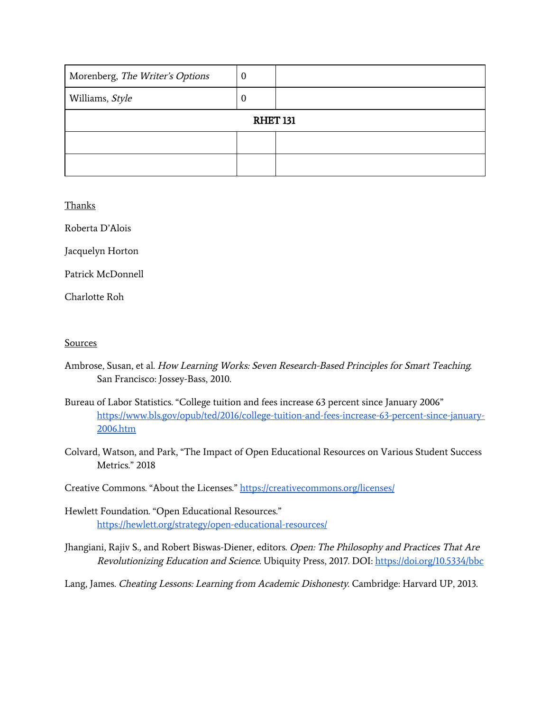| Morenberg, The Writer's Options | $\bf{0}$ |  |  |
|---------------------------------|----------|--|--|
| Williams, Style                 | υ        |  |  |
| <b>RHET 131</b>                 |          |  |  |
|                                 |          |  |  |
|                                 |          |  |  |

#### Thanks

Roberta D'Alois

Jacquelyn Horton

Patrick McDonnell

Charlotte Roh

#### Sources

- Ambrose, Susan, et al. How Learning Works: Seven Research-Based Principles for Smart Teaching. San Francisco: Jossey-Bass, 2010.
- Bureau of Labor Statistics. "College tuition and fees increase 63 percent since January 2006" [https://www.bls.gov/opub/ted/2016/college-tuition-and-fees-increase-63-percent-since-january-](https://www.bls.gov/opub/ted/2016/college-tuition-and-fees-increase-63-percent-since-january-2006.htm)[2006.htm](https://www.bls.gov/opub/ted/2016/college-tuition-and-fees-increase-63-percent-since-january-2006.htm)
- Colvard, Watson, and Park, "The Impact of Open Educational Resources on Various Student Success Metrics." 2018

Creative Commons. "About the Licenses." <https://creativecommons.org/licenses/>

- Hewlett Foundation. "Open Educational Resources." <https://hewlett.org/strategy/open-educational-resources/>
- Jhangiani, Rajiv S., and Robert Biswas-Diener, editors. Open: The Philosophy and Practices That Are Revolutionizing Education and Science. Ubiquity Press, 2017. DOI: <https://doi.org/10.5334/bbc>

Lang, James. Cheating Lessons: Learning from Academic Dishonesty. Cambridge: Harvard UP, 2013.